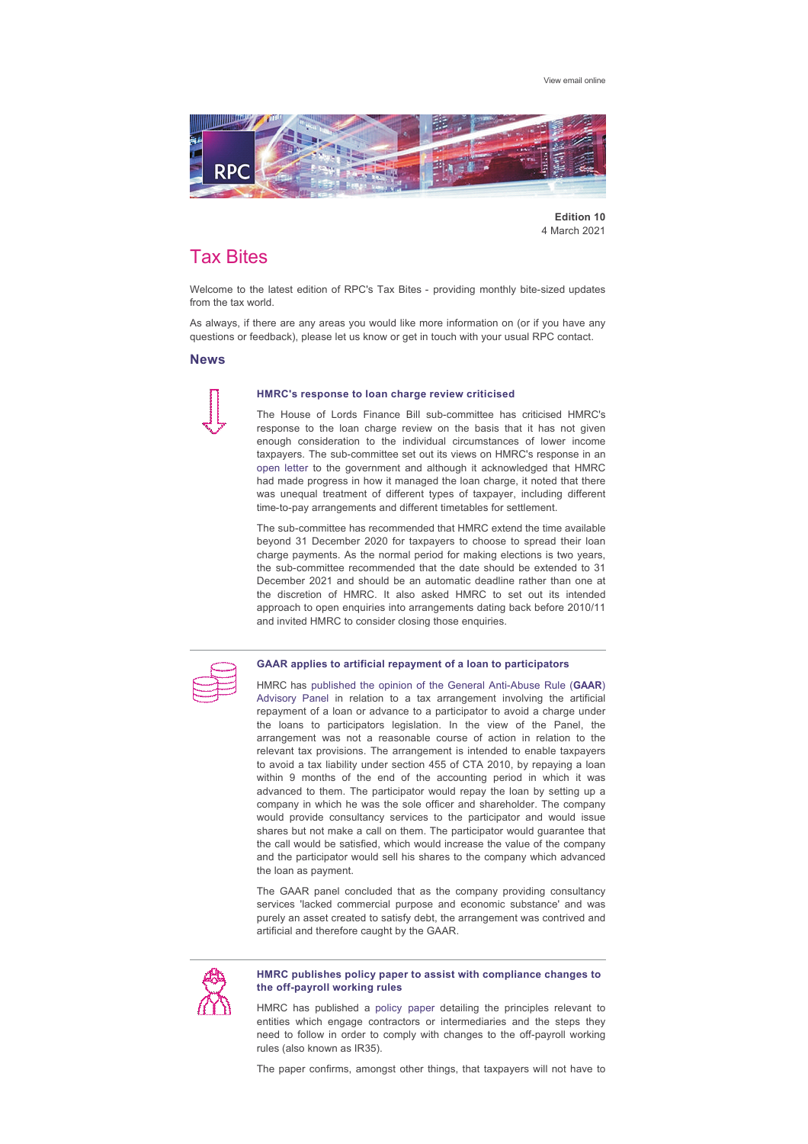[View email online](https://rpc.vuturevx.com/API/Print/Preview/Screen?url=https%3a%2f%2fsites-rpc.vuturevx.com%2f70%2f2795%2fcompose-email%2frpc-tax-bites--monthly-bite-size-updates-from-the-tax-world.asp%3fwidth%3d1024#)



**Edition 10** 4 March 2021

# Tax Bites

Welcome to the latest edition of RPC's Tax Bites - providing monthly bite-sized updates from the tax world.

As always, if there are any areas you would like more information on (or if you have any questions or feedback), please let us know or get in touch with your usual RPC contact.

## **News**



#### **HMRC's response to loan charge review criticised**

The House of Lords Finance Bill sub-committee has criticised HMRC's response to the loan charge review on the basis that it has not given enough consideration to the individual circumstances of lower income taxpayers. The sub-committee set out its views on HMRC's response in an [open letter](https://committees.parliament.uk/publications/4402/documents/44492/default/) to the government and although it acknowledged that HMRC had made progress in how it managed the loan charge, it noted that there was unequal treatment of different types of taxpayer, including different time-to-pay arrangements and different timetables for settlement.

The sub-committee has recommended that HMRC extend the time available beyond 31 December 2020 for taxpayers to choose to spread their loan charge payments. As the normal period for making elections is two years, the sub-committee recommended that the date should be extended to 31 December 2021 and should be an automatic deadline rather than one at the discretion of HMRC. It also asked HMRC to set out its intended approach to open enquiries into arrangements dating back before 2010/11 and invited HMRC to consider closing those enquiries.



#### **GAAR applies to artificial repayment of a loan to participators**

HMRC has published the opinion of the General Anti-Abuse Rule (GAAR) Advisory Panel in relation to a tax arrangement involving the artificial repayment of a loan or advance to a participator to avoid a charge under the loans to participators legislation. In the view of the Panel, the arrangement was not a reasonable course of action in relation to the relevant tax provisions. The arrangement is intended to enable taxpayers to avoid a tax liability under section 455 of CTA 2010, by repaying a loan within 9 months of the end of the accounting period in which it was advanced to them. The participator would repay the loan by setting up a company in which he was the sole officer and shareholder. The company would provide consultancy services to the participator and would issue shares but not make a call on them. The participator would guarantee that the call would be satisfied, which would increase the value of the company and the participator would sell his shares to the company which advanced the loan as payment.

The GAAR panel concluded that as the company providing consultancy services 'lacked commercial purpose and economic substance' and was purely an asset created to satisfy debt, the arrangement was contrived and artificial and therefore caught by the GAAR.



#### **HMRC publishes policy paper to assist with compliance changes to**  the off-payroll working rules

HMRC has published a [policy paper](https://www.gov.uk/government/publications/hmrc-issue-briefing-supporting-organisations-to-comply-with-changes-to-the-off-payroll-working-rules-ir35) detailing the principles relevant to entities which engage contractors or intermediaries and the steps they  $\overline{\phantom{a}}$  need to follow in order to comply with changes to the off-payroll working rules (also known as IR35).

The paper confirms, amongst other things, that taxpayers will not have to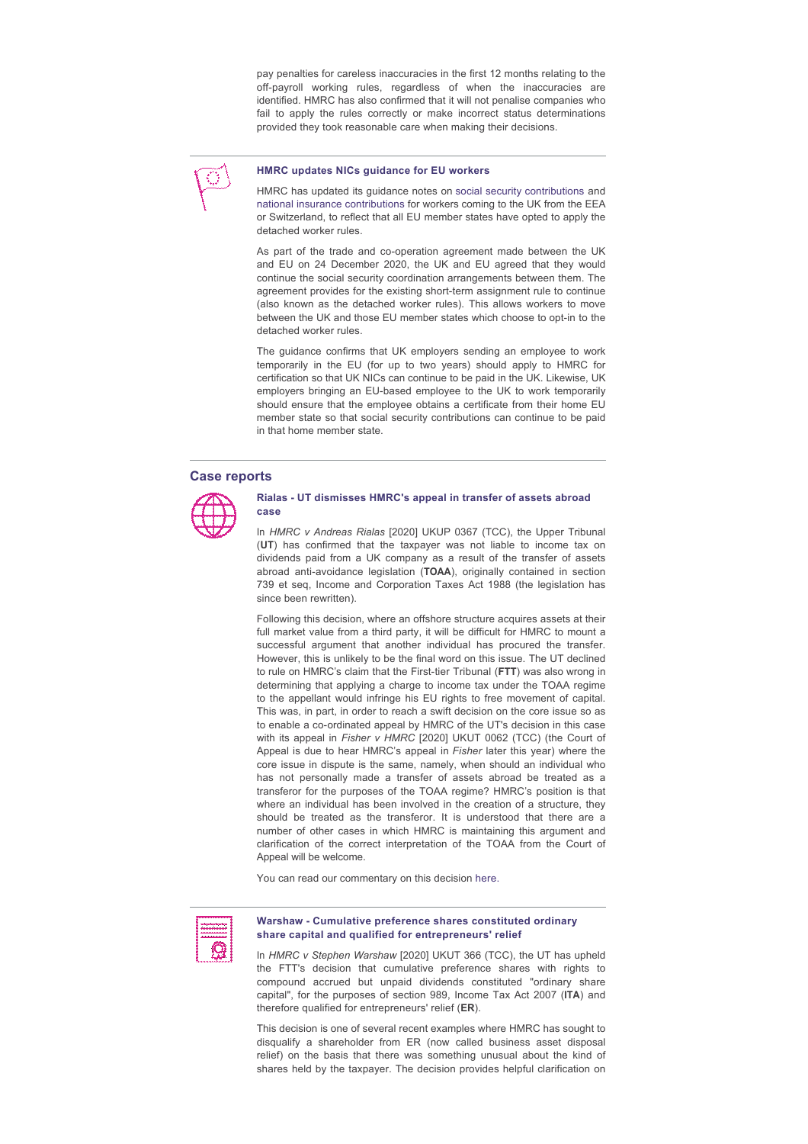pay penalties for careless inaccuracies in the first 12 months relating to the off-payroll working rules, regardless of when the inaccuracies are identified. HMRC has also confirmed that it will not penalise companies who fail to apply the rules correctly or make incorrect status determinations provided they took reasonable care when making their decisions.



## **HMRC updates NICs guidance for EU workers**

HMRC has updated its guidance notes on [social security contributions](https://www.gov.uk/guidance/social-security-contributions-for-workers-coming-to-the-uk-from-the-eea-or-switzerland) and [national insurance contributions](https://www.gov.uk/guidance/national-insurance-for-workers-from-the-uk-working-in-the-eea-or-switzerland) for workers coming to the UK from the EEA or Switzerland, to reflect that all EU member states have opted to apply the detached worker rules.

As part of the trade and co-operation agreement made between the UK and EU on 24 December 2020, the UK and EU agreed that they would continue the social security coordination arrangements between them. The agreement provides for the existing short-term assignment rule to continue (also known as the detached worker rules). This allows workers to move between the UK and those EU member states which choose to opt-in to the detached worker rules.

The quidance confirms that UK employers sending an employee to work temporarily in the EU (for up to two years) should apply to HMRC for certification so that UK NICs can continue to be paid in the UK. Likewise, UK employers bringing an EU-based employee to the UK to work temporarily should ensure that the employee obtains a certificate from their home EU member state so that social security contributions can continue to be paid in that home member state.

#### **Case reports**



#### **Rialas UT dismisses HMRC's appeal in transfer of assets abroad case**

In *HMRC v Andreas Rialas* [2020] UKUP 0367 (TCC), the Upper Tribunal (**UT**) has confirmed that the taxpayer was not liable to income tax on dividends paid from a UK company as a result of the transfer of assets abroad anti-avoidance legislation (TOAA), originally contained in section 739 et seq, Income and Corporation Taxes Act 1988 (the legislation has since been rewritten).

Following this decision, where an offshore structure acquires assets at their full market value from a third party, it will be difficult for HMRC to mount a successful argument that another individual has procured the transfer. However, this is unlikely to be the final word on this issue. The UT declined to rule on HMRC's claim that the First-tier Tribunal (FTT) was also wrong in determining that applying a charge to income tax under the TOAA regime to the appellant would infringe his EU rights to free movement of capital. This was, in part, in order to reach a swift decision on the core issue so as to enable a co-ordinated appeal by HMRC of the UT's decision in this case with its appeal in Fisher v HMRC [2020] UKUT 0062 (TCC) (the Court of Appeal is due to hear HMRC's appeal in *Fisher* later this year) where the core issue in dispute is the same, namely, when should an individual who has not personally made a transfer of assets abroad be treated as a transferor for the purposes of the TOAA regime? HMRC's position is that where an individual has been involved in the creation of a structure, they should be treated as the transferor. It is understood that there are a number of other cases in which HMRC is maintaining this argument and clarification of the correct interpretation of the TOAA from the Court of Appeal will be welcome.

You can read our commentary on this decision [here.](https://www.rpc.co.uk/perspectives/tax-take/rialas-hmrc-transfer-of-assets-abroad-appeal-fails-in-upper-tribunal/)



#### **Warshaw Cumulative preference shares constituted ordinary share capital and qualified for entrepreneurs' relief**

In *HMRC v Stephen Warshaw* [2020] UKUT 366 (TCC), the UT has upheld the FTT's decision that cumulative preference shares with rights to compound accrued but unpaid dividends constituted "ordinary share capital", for the purposes of section 989, Income Tax Act 2007 (**ITA**) and therefore qualified for entrepreneurs' relief (**ER**).

This decision is one of several recent examples where HMRC has sought to disqualify a shareholder from ER (now called business asset disposal relief) on the basis that there was something unusual about the kind of shares held by the taxpayer. The decision provides helpful clarification on